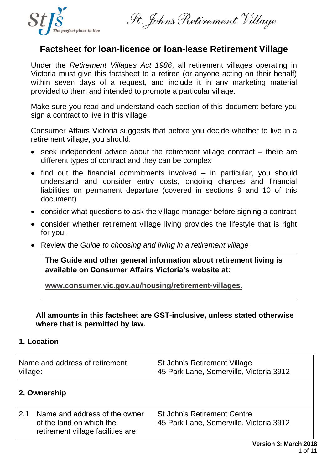

St. John's Retirement Village

# **Factsheet for loan-licence or loan-lease Retirement Village**

Under the *Retirement Villages Act 1986*, all retirement villages operating in Victoria must give this factsheet to a retiree (or anyone acting on their behalf) within seven days of a request, and include it in any marketing material provided to them and intended to promote a particular village.

Make sure you read and understand each section of this document before you sign a contract to live in this village.

Consumer Affairs Victoria suggests that before you decide whether to live in a retirement village, you should:

- seek independent advice about the retirement village contract there are different types of contract and they can be complex
- find out the financial commitments involved in particular, you should understand and consider entry costs, ongoing charges and financial liabilities on permanent departure (covered in sections 9 and 10 of this document)
- consider what questions to ask the village manager before signing a contract
- consider whether retirement village living provides the lifestyle that is right for you.
- Review the *Guide to choosing and living in a retirement village*

**The Guide and other general information about retirement living is available on Consumer Affairs Victoria's website at:**

**www.consumer.vic.gov.au/housing/retirement-villages.**

**All amounts in this factsheet are GST-inclusive, unless stated otherwise where that is permitted by law.**

## **1. Location**

| Name and address of retirement | St John's Retirement Village            |
|--------------------------------|-----------------------------------------|
| village:                       | 45 Park Lane, Somerville, Victoria 3912 |

## **2. Ownership**

2.1 Name and address of the owner of the land on which the retirement village facilities are: St John's Retirement Centre 45 Park Lane, Somerville, Victoria 3912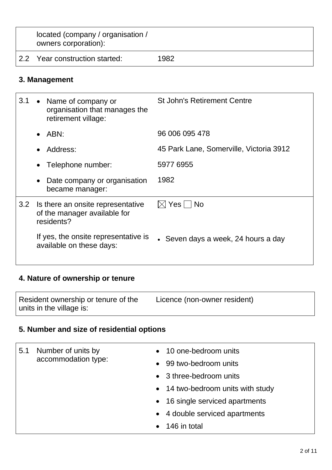| located (company / organisation /<br>owners corporation): |      |
|-----------------------------------------------------------|------|
| 2.2 Year construction started:                            | 1982 |

# **3. Management**

| 3.1 | • Name of company or<br>organisation that manages the<br>retirement village:    | <b>St John's Retirement Centre</b>      |
|-----|---------------------------------------------------------------------------------|-----------------------------------------|
|     | $\bullet$ ABN:                                                                  | 96 006 095 478                          |
|     | Address:<br>$\bullet$                                                           | 45 Park Lane, Somerville, Victoria 3912 |
|     | Telephone number:<br>$\bullet$                                                  | 5977 6955                               |
|     | Date company or organisation<br>$\bullet$<br>became manager:                    | 1982                                    |
| 3.2 | Is there an onsite representative<br>of the manager available for<br>residents? | $\boxtimes$ Yes $\Box$ No               |
|     | If yes, the onsite representative is<br>available on these days:                | • Seven days a week, 24 hours a day     |

# **4. Nature of ownership or tenure**

| Resident ownership or tenure of the | Licence (non-owner resident) |
|-------------------------------------|------------------------------|
| units in the village is:            |                              |

# **5. Number and size of residential options**

| 5.1 | Number of units by<br>accommodation type: |           | • 10 one-bedroom units<br>• 99 two-bedroom units<br>• 3 three-bedroom units |
|-----|-------------------------------------------|-----------|-----------------------------------------------------------------------------|
|     |                                           |           | • 14 two-bedroom units with study<br>• 16 single serviced apartments        |
|     |                                           | $\bullet$ | • 4 double serviced apartments<br>146 in total                              |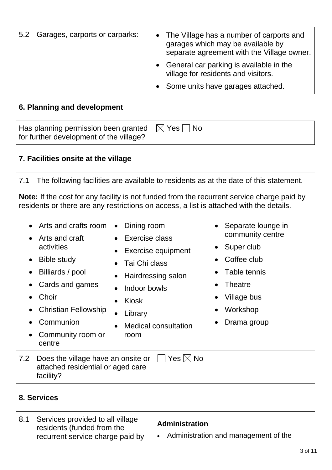| 5.2 Garages, carports or carparks: | • The Village has a number of carports and<br>garages which may be available by<br>separate agreement with the Village owner. |
|------------------------------------|-------------------------------------------------------------------------------------------------------------------------------|
|                                    | • General car parking is available in the<br>village for residents and visitors.                                              |
|                                    | • Some units have garages attached.                                                                                           |

## **6. Planning and development**

| Has planning permission been granted $\Box$ Yes $\Box$ No |  |
|-----------------------------------------------------------|--|
| for further development of the village?                   |  |

## **7. Facilities onsite at the village**

7.1 The following facilities are available to residents as at the date of this statement. **Note:** If the cost for any facility is not funded from the recurrent service charge paid by residents or there are any restrictions on access, a list is attached with the details. • Arts and crafts room • Arts and craft activities • Bible study • Billiards / pool • Cards and games • Choir • Christian Fellowship • Communion • Community room or centre • Dining room • Exercise class **Exercise equipment** • Tai Chi class • Hairdressing salon • Indoor bowls • Kiosk • Library • Medical consultation room • Separate lounge in community centre Super club Coffee club • Table tennis **Theatre** • Village bus • Workshop • Drama group 7.2 Does the village have an onsite or  $\Box$  Yes  $\boxtimes$  No attached residential or aged care facility?

## **8. Services**

8.1 Services provided to all village residents (funded from the recurrent service charge paid by **Administration** • Administration and management of the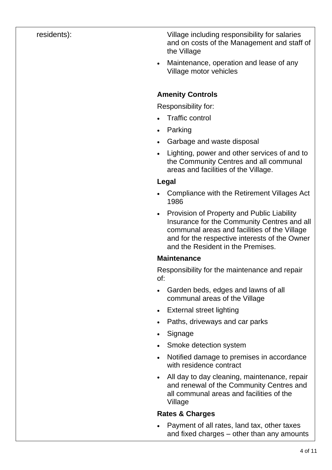residents): Village including responsibility for salaries and on costs of the Management and staff of the Village

> • Maintenance, operation and lease of any Village motor vehicles

## **Amenity Controls**

Responsibility for:

- Traffic control
- Parking
- Garbage and waste disposal
- Lighting, power and other services of and to the Community Centres and all communal areas and facilities of the Village.

## **Legal**

- Compliance with the Retirement Villages Act 1986
- Provision of Property and Public Liability Insurance for the Community Centres and all communal areas and facilities of the Village and for the respective interests of the Owner and the Resident in the Premises.

## **Maintenance**

Responsibility for the maintenance and repair of:

- Garden beds, edges and lawns of all communal areas of the Village
- External street lighting
- Paths, driveways and car parks
- Signage
- Smoke detection system
- Notified damage to premises in accordance with residence contract
- All day to day cleaning, maintenance, repair and renewal of the Community Centres and all communal areas and facilities of the Village

## **Rates & Charges**

• Payment of all rates, land tax, other taxes and fixed charges – other than any amounts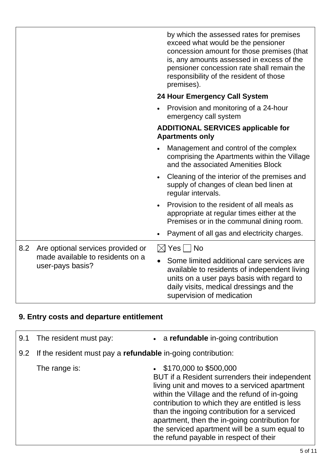|     |                                                      |           | by which the assessed rates for premises<br>exceed what would be the pensioner<br>concession amount for those premises (that<br>is, any amounts assessed in excess of the<br>pensioner concession rate shall remain the<br>responsibility of the resident of those<br>premises). |
|-----|------------------------------------------------------|-----------|----------------------------------------------------------------------------------------------------------------------------------------------------------------------------------------------------------------------------------------------------------------------------------|
|     |                                                      |           | <b>24 Hour Emergency Call System</b>                                                                                                                                                                                                                                             |
|     |                                                      |           | Provision and monitoring of a 24-hour<br>emergency call system                                                                                                                                                                                                                   |
|     |                                                      |           | <b>ADDITIONAL SERVICES applicable for</b><br><b>Apartments only</b>                                                                                                                                                                                                              |
|     |                                                      |           | Management and control of the complex<br>comprising the Apartments within the Village<br>and the associated Amenities Block                                                                                                                                                      |
|     |                                                      | $\bullet$ | Cleaning of the interior of the premises and<br>supply of changes of clean bed linen at<br>regular intervals.                                                                                                                                                                    |
|     |                                                      | $\bullet$ | Provision to the resident of all meals as<br>appropriate at regular times either at the<br>Premises or in the communal dining room.                                                                                                                                              |
|     |                                                      |           | Payment of all gas and electricity charges.                                                                                                                                                                                                                                      |
| 8.2 | Are optional services provided or                    |           | $\boxtimes$ Yes $\Box$ No                                                                                                                                                                                                                                                        |
|     | made available to residents on a<br>user-pays basis? |           | Some limited additional care services are<br>available to residents of independent living<br>units on a user pays basis with regard to<br>daily visits, medical dressings and the<br>supervision of medication                                                                   |

# **9. Entry costs and departure entitlement**

| 9.1 | The resident must pay:                                                  |           | • a refundable in-going contribution                                                                                                                                                                                                                                                                                                                                                                                      |
|-----|-------------------------------------------------------------------------|-----------|---------------------------------------------------------------------------------------------------------------------------------------------------------------------------------------------------------------------------------------------------------------------------------------------------------------------------------------------------------------------------------------------------------------------------|
|     | 9.2 If the resident must pay a <b>refundable</b> in-going contribution: |           |                                                                                                                                                                                                                                                                                                                                                                                                                           |
|     | The range is:                                                           | $\bullet$ | \$170,000 to \$500,000<br>BUT if a Resident surrenders their independent<br>living unit and moves to a serviced apartment<br>within the Village and the refund of in-going<br>contribution to which they are entitled is less<br>than the ingoing contribution for a serviced<br>apartment, then the in-going contribution for<br>the serviced apartment will be a sum equal to<br>the refund payable in respect of their |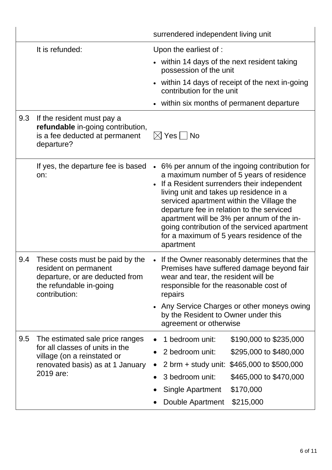|     |                                                                                                                                         | surrendered independent living unit                                                                                                                                                                                                                                                                                                                                                                                                                          |  |
|-----|-----------------------------------------------------------------------------------------------------------------------------------------|--------------------------------------------------------------------------------------------------------------------------------------------------------------------------------------------------------------------------------------------------------------------------------------------------------------------------------------------------------------------------------------------------------------------------------------------------------------|--|
|     | It is refunded:                                                                                                                         | Upon the earliest of :                                                                                                                                                                                                                                                                                                                                                                                                                                       |  |
|     |                                                                                                                                         | • within 14 days of the next resident taking<br>possession of the unit                                                                                                                                                                                                                                                                                                                                                                                       |  |
|     |                                                                                                                                         | within 14 days of receipt of the next in-going<br>$\bullet$<br>contribution for the unit                                                                                                                                                                                                                                                                                                                                                                     |  |
|     |                                                                                                                                         | within six months of permanent departure                                                                                                                                                                                                                                                                                                                                                                                                                     |  |
| 9.3 | If the resident must pay a<br>refundable in-going contribution,<br>is a fee deducted at permanent<br>departure?                         | $\boxtimes$ Yes $\mid$ $\mid$ No                                                                                                                                                                                                                                                                                                                                                                                                                             |  |
|     | If yes, the departure fee is based<br>on:                                                                                               | 6% per annum of the ingoing contribution for<br>$\bullet$<br>a maximum number of 5 years of residence<br>If a Resident surrenders their independent<br>$\bullet$<br>living unit and takes up residence in a<br>serviced apartment within the Village the<br>departure fee in relation to the serviced<br>apartment will be 3% per annum of the in-<br>going contribution of the serviced apartment<br>for a maximum of 5 years residence of the<br>apartment |  |
| 9.4 | These costs must be paid by the<br>resident on permanent<br>departure, or are deducted from<br>the refundable in-going<br>contribution: | • If the Owner reasonably determines that the<br>Premises have suffered damage beyond fair<br>wear and tear, the resident will be<br>responsible for the reasonable cost of<br>repairs<br>Any Service Charges or other moneys owing<br>$\bullet$                                                                                                                                                                                                             |  |
|     |                                                                                                                                         | by the Resident to Owner under this<br>agreement or otherwise                                                                                                                                                                                                                                                                                                                                                                                                |  |
| 9.5 | The estimated sale price ranges                                                                                                         | 1 bedroom unit:<br>\$190,000 to \$235,000                                                                                                                                                                                                                                                                                                                                                                                                                    |  |
|     | for all classes of units in the<br>village (on a reinstated or                                                                          | 2 bedroom unit:<br>\$295,000 to \$480,000                                                                                                                                                                                                                                                                                                                                                                                                                    |  |
|     | renovated basis) as at 1 January                                                                                                        | \$465,000 to \$500,000<br>$2 \text{ brm} + \text{study unit:}$                                                                                                                                                                                                                                                                                                                                                                                               |  |
|     | 2019 are:                                                                                                                               | 3 bedroom unit:<br>\$465,000 to \$470,000                                                                                                                                                                                                                                                                                                                                                                                                                    |  |
|     |                                                                                                                                         | Single Apartment<br>\$170,000                                                                                                                                                                                                                                                                                                                                                                                                                                |  |
|     |                                                                                                                                         | \$215,000<br>Double Apartment                                                                                                                                                                                                                                                                                                                                                                                                                                |  |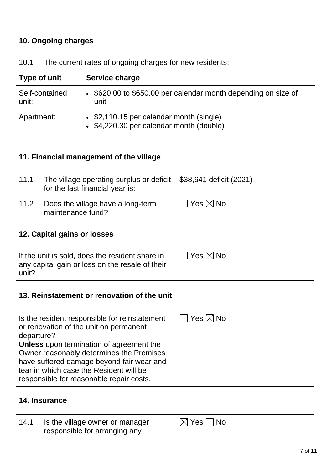# **10. Ongoing charges**

| The current rates of ongoing charges for new residents:<br>10.1 |                                                                                      |  |
|-----------------------------------------------------------------|--------------------------------------------------------------------------------------|--|
| Type of unit                                                    | Service charge                                                                       |  |
| Self-contained<br>unit:                                         | • \$620.00 to \$650.00 per calendar month depending on size of<br>unit               |  |
| Apartment:                                                      | • \$2,110.15 per calendar month (single)<br>• \$4,220.30 per calendar month (double) |  |

# **11. Financial management of the village**

| 11.1 | The village operating surplus or deficit \$38,641 deficit (2021)<br>for the last financial year is: |                           |
|------|-----------------------------------------------------------------------------------------------------|---------------------------|
| 11.2 | Does the village have a long-term<br>maintenance fund?                                              | $\Box$ Yes $\boxtimes$ No |

# **12. Capital gains or losses**

| If the unit is sold, does the resident share in | $\Box$ Yes $\boxtimes$ No |
|-------------------------------------------------|---------------------------|
| any capital gain or loss on the resale of their |                           |
| unit?                                           |                           |

## **13. Reinstatement or renovation of the unit**

## **14. Insurance**

| 14.1 | Is the village owner or manager | $\boxtimes$ Yes $\Box$ No |
|------|---------------------------------|---------------------------|
|      | responsible for arranging any   |                           |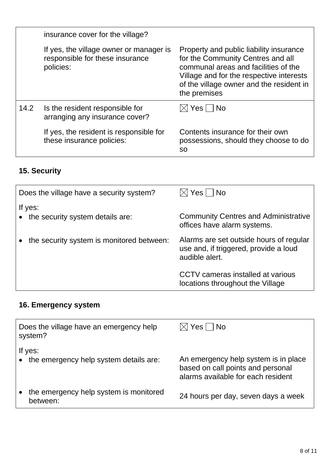|      | insurance cover for the village?                                                        |                                                                                                                                                                                                                              |
|------|-----------------------------------------------------------------------------------------|------------------------------------------------------------------------------------------------------------------------------------------------------------------------------------------------------------------------------|
|      | If yes, the village owner or manager is<br>responsible for these insurance<br>policies: | Property and public liability insurance<br>for the Community Centres and all<br>communal areas and facilities of the<br>Village and for the respective interests<br>of the village owner and the resident in<br>the premises |
| 14.2 | Is the resident responsible for<br>arranging any insurance cover?                       | $\boxtimes$ Yes $\Box$ No                                                                                                                                                                                                    |
|      | If yes, the resident is responsible for<br>these insurance policies:                    | Contents insurance for their own<br>possessions, should they choose to do<br>SO.                                                                                                                                             |

# **15. Security**

| Does the village have a security system?    | $\boxtimes$ Yes $\vdash$   No                                                                      |
|---------------------------------------------|----------------------------------------------------------------------------------------------------|
| If yes:<br>the security system details are: | <b>Community Centres and Administrative</b><br>offices have alarm systems.                         |
| the security system is monitored between:   | Alarms are set outside hours of regular<br>use and, if triggered, provide a loud<br>audible alert. |
|                                             | CCTV cameras installed at various<br>locations throughout the Village                              |

# **16. Emergency system**

| Does the village have an emergency help<br>system?  | $\boxtimes$ Yes $\Box$ No                                                                                       |
|-----------------------------------------------------|-----------------------------------------------------------------------------------------------------------------|
| If yes:<br>• the emergency help system details are: | An emergency help system is in place<br>based on call points and personal<br>alarms available for each resident |
| the emergency help system is monitored<br>between:  | 24 hours per day, seven days a week                                                                             |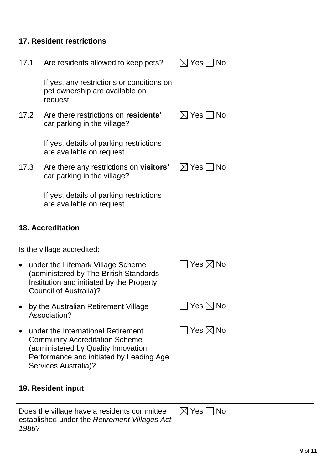# **17. Resident restrictions**

| 17.1 | Are residents allowed to keep pets?                                                     | $\boxtimes$ Yes $\Box$ No |
|------|-----------------------------------------------------------------------------------------|---------------------------|
|      | If yes, any restrictions or conditions on<br>pet ownership are available on<br>request. |                           |
| 17.2 | Are there restrictions on residents'<br>car parking in the village?                     | $\boxtimes$ Yes $\Box$ No |
|      | If yes, details of parking restrictions<br>are available on request.                    |                           |
| 17.3 | Are there any restrictions on <b>visitors'</b><br>car parking in the village?           | $\boxtimes$ Yes $\Box$ No |
|      | If yes, details of parking restrictions<br>are available on request.                    |                           |

# **18. Accreditation**

| Is the village accredited: |                                                                                                                                                                                        |                              |
|----------------------------|----------------------------------------------------------------------------------------------------------------------------------------------------------------------------------------|------------------------------|
|                            | under the Lifemark Village Scheme<br>(administered by The British Standards<br>Institution and initiated by the Property<br>Council of Australia)?                                     | $\Box$ Yes $\boxtimes$ No    |
|                            | by the Australian Retirement Village<br>Association?                                                                                                                                   | $\Box$ Yes $\boxtimes$ No    |
|                            | under the International Retirement<br><b>Community Accreditation Scheme</b><br>(administered by Quality Innovation<br>Performance and initiated by Leading Age<br>Services Australia)? | $\exists$ Yes $\boxtimes$ No |

# **19. Resident input**

| Does the village have a residents committee<br>established under the Retirement Villages Act | $\boxtimes$ Yes $\Box$ No |
|----------------------------------------------------------------------------------------------|---------------------------|
| 1986?                                                                                        |                           |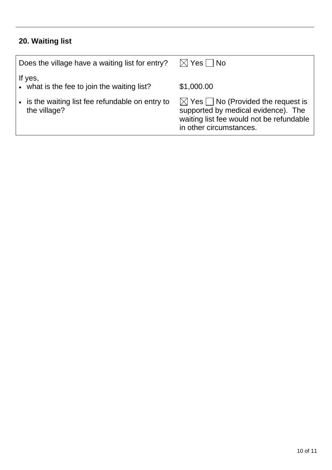# **20. Waiting list**

| Does the village have a waiting list for entry?                  | $\boxtimes$ Yes $\Box$ No                                                                                                                                        |
|------------------------------------------------------------------|------------------------------------------------------------------------------------------------------------------------------------------------------------------|
| If yes,<br>• what is the fee to join the waiting list?           | \$1,000.00                                                                                                                                                       |
| • is the waiting list fee refundable on entry to<br>the village? | $\boxtimes$ Yes $\Box$ No (Provided the request is<br>supported by medical evidence). The<br>waiting list fee would not be refundable<br>in other circumstances. |